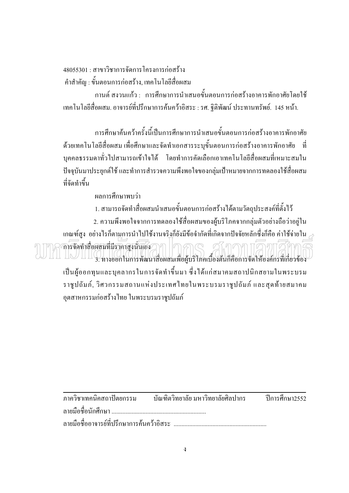<u> 48055301 · สาขาวิชาการจัดการโครงการก่อสร้าง</u> ้คำสำคัญ : ขั้นตอนการก่อสร้าง, เทคโนโลยีสื่อผสม

ึกานต์ สงวนแก้ว : การศึกษาการนำเสนอขั้นตอนการก่อสร้างอาคารพักอาศัยโดยใช้ เทคโนโลยีสื่อผสม. อาจารย์ที่ปรึกษาการค้นคว้าอิสระ : รศ. ฐิติพัฒน์ ประทานทรัพย์. 145 หน้า.

ิ การศึกษาค้นคว้าครั้งนี้เป็นการศึกษาการนำเสนอขั้นตอนการก่อสร้างอาคารพักอาศัย ี ค้วยเทคโนโลยีสื่อผสม เพื่อศึกษาและจัดทำเอกสารระบุขั้นตอนการก่อสร้างอาคารพักอาศัย ที่ ี บุคคลธรรมดาทั่วไปสามารถเข้าใจได้ โดยทำการคัดเลือกเอาเทคโนโลยีสื่อผสมที่เหมาะสมใน ้ปัจจุบันมาประยุกต์ใช้ และทำการสำรวจความพึงพอใจของกลุ่มเป้าหมายจากการทดลองใช้สื่อผสม ที่จัดทำขึ้น

ผลการศึกนาพบว่า

1. สามารถจัดทำสื่อผสมนำเสนอขั้นตอนการก่อสร้างได้ตามวัตถุประสงค์ที่ตั้งไว้ 2. ความพึงพอใจจากการทดลองใช้สื่อผสมของผู้บริโภคจากกลุ่มตัวอย่างถือว่าอยู่ใน ี่เกณฑ์สูง อย่างไรก็ตาบการนำไปใช้งานจริงก็ยังมีข้อจำกัดที่เกิดจากปัจจัยหลักซึ่งก็คือ ค่าใช้จ่ายใน  $_{\mathcal{C}}$ ล กรจัดทำสื่อผลมที่มีราคาสูงนั่นเอง 21 | 1 3 1 C 01.71 1 1 1 3. ทางออกในการพัฒนาสื่อผสมเพื่อผู้บริโภคเบื้องต้นก็คือการจัดให้องค์กรที่เกี่ยวข้อง ้เป็นผู้ออกทุนและบุคลากรในการจัดทำขึ้นมา ซึ่งใด้แก่สมาคมสถาปนิกสยามในพระบรม ราชูปถัมภ์, วิศวกรรมสถานแห่งประเทศไทยในพระบรมราชูปถัมภ์ และสุดท้ายสมาคม

อุตสาหกรรมก่อสร้างใทย ในพระบรมราชูปถัมภ์

| ิภาควิชาเทคนิคสถาปัตยกรรม บัณฑิตวิทยาลัย มหาวิทยาลัยศิลปากร ปีการศึกษา2552 |  |
|----------------------------------------------------------------------------|--|
|                                                                            |  |
|                                                                            |  |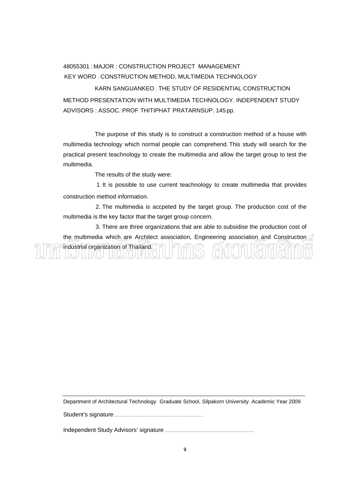## 48055301 : MAJOR : CONSTRUCTION PROJECT MANAGEMENT KEY WORD : CONSTRUCTION METHOD, MULTIMEDIA TECHNOLOGY

KARN SANGUANKEO : THE STUDY OF RESIDENTIAL CONSTRUCTION METHOD PRESENTATION WITH MULTIMEDIA TECHNOLOGY. INDEPENDENT STUDY ADVISORS : ASSOC. PROF. THITIPHAT PRATARNSUP. 145 pp.

The purpose of this study is to construct a construction method of a house with multimedia technology which normal people can comprehend. This study will search for the practical present teachnology to create the multimedia and allow the target group to test the multimedia.

The results of the study were:

 1. It is possible to use current teachnology to create multimedia that provides construction method information.

 2. The multimedia is accpeted by the target group. The production cost of the multimedia is the key factor that the target group concern.

 3. There are three organizations that are able to subsidise the production cost of the multimedia which are Architect association, Engineering association and Construction industrial organization of Thailand. TIN JEH (U HIGH (

Department of Architectural Technology Graduate School, Silpakorn University Academic Year 2009

Student's signature ....

Independent Study Advisors' signature .............................................................................................